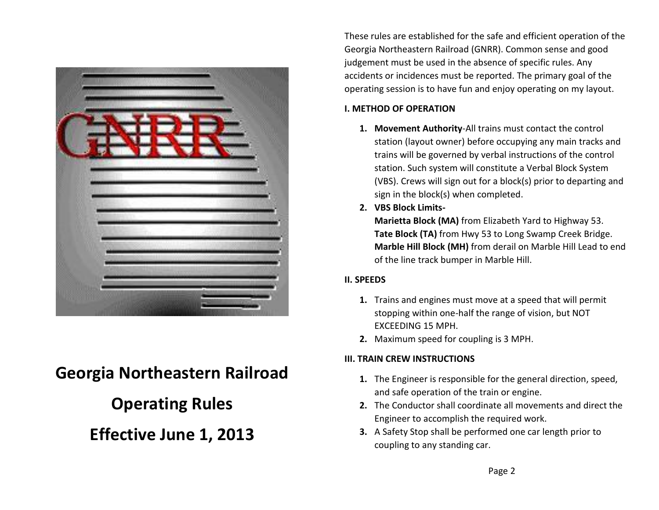

# **Georgia Northeastern Railroad**

### **Operating Rules**

## **Effective June 1, 2013**

These rules are established for the safe and efficient operation of the Georgia Northeastern Railroad (GNRR). Common sense and good judgement must be used in the absence of specific rules. Any accidents or incidences must be reported. The primary goal of the operating session is to have fun and enjoy operating on my layout.

#### **I. METHOD OF OPERATION**

- **1. Movement Authority**-All trains must contact the control station (layout owner) before occupying any main tracks and trains will be governed by verbal instructions of the control station. Such system will constitute a Verbal Block System (VBS). Crews will sign out for a block(s) prior to departing and sign in the block(s) when completed.
- **2. VBS Block Limits-**

**Marietta Block (MA)** from Elizabeth Yard to Highway 53. **Tate Block (TA)** from Hwy 53 to Long Swamp Creek Bridge. **Marble Hill Block (MH)** from derail on Marble Hill Lead to end of the line track bumper in Marble Hill.

#### **II. SPEEDS**

- **1.** Trains and engines must move at a speed that will permit stopping within one-half the range of vision, but NOT EXCEEDING 15 MPH.
- **2.** Maximum speed for coupling is 3 MPH.

### **III. TRAIN CREW INSTRUCTIONS**

- **1.** The Engineer is responsible for the general direction, speed, and safe operation of the train or engine.
- **2.** The Conductor shall coordinate all movements and direct the Engineer to accomplish the required work.
- **3.** A Safety Stop shall be performed one car length prior to coupling to any standing car.